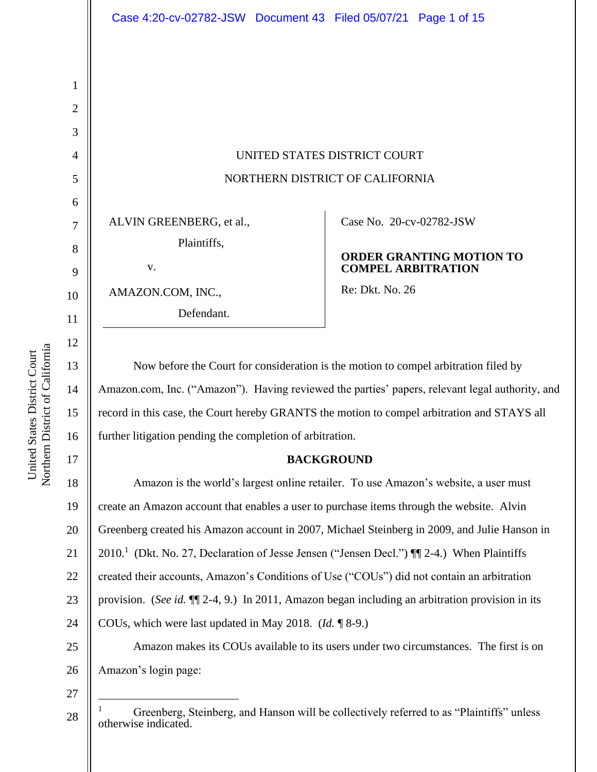UNITED STATES DISTRICT COURT NORTHERN DISTRICT OF CALIFORNIA

ALVIN GREENBERG, et al.,

Plaintiffs,

v.

AMAZON.COM, INC., Defendant. Case No. [20-cv-02782-JSW](https://ecf.cand.uscourts.gov/cgi-bin/DktRpt.pl?358530) 

### **ORDER GRANTING MOTION TO COMPEL ARBITRATION**

Re: Dkt. No. 26

Now before the Court for consideration is the motion to compel arbitration filed by Amazon.com, Inc. ("Amazon"). Having reviewed the parties' papers, relevant legal authority, and record in this case, the Court hereby GRANTS the motion to compel arbitration and STAYS all further litigation pending the completion of arbitration.

### **BACKGROUND**

18 19 20 21 22 23 24 25 26 Amazon is the world's largest online retailer. To use Amazon's website, a user must create an Amazon account that enables a user to purchase items through the website. Alvin Greenberg created his Amazon account in 2007, Michael Steinberg in 2009, and Julie Hanson in 2010.<sup>1</sup> (Dkt. No. 27, Declaration of Jesse Jensen ("Jensen Decl.") ¶ 2-4.) When Plaintiffs created their accounts, Amazon's Conditions of Use ("COUs") did not contain an arbitration provision. (*See id.* ¶¶ 2-4, 9.) In 2011, Amazon began including an arbitration provision in its COUs, which were last updated in May 2018. (*Id.* ¶ 8-9.) Amazon makes its COUs available to its users under two circumstances. The first is on Amazon's login page:

27

28

1

2

3

4

5

6

7

8

9

10

11

12

13

14

15

16

<sup>&</sup>lt;sup>1</sup> Greenberg, Steinberg, and Hanson will be collectively referred to as "Plaintiffs" unless otherwise indicated.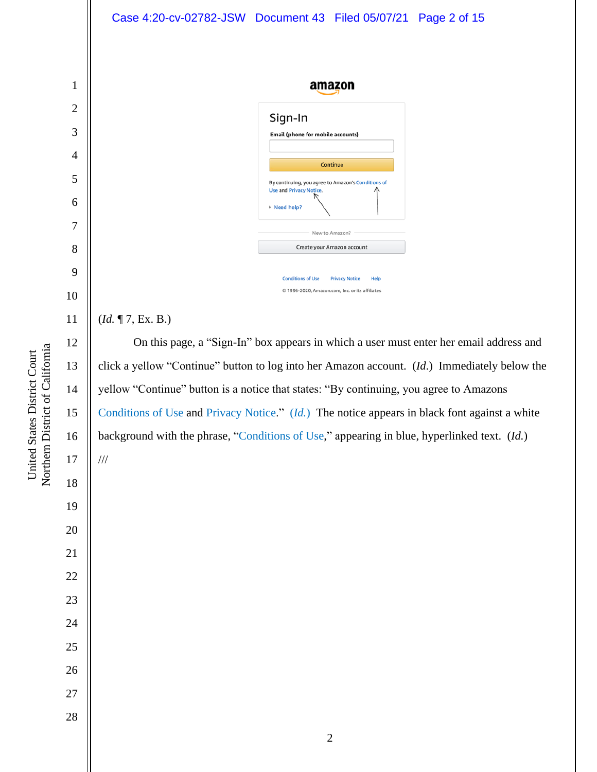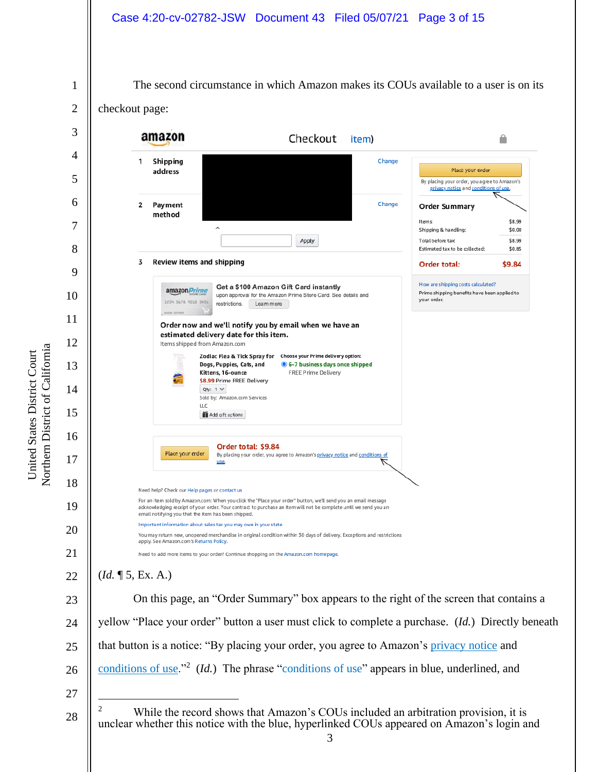The second circumstance in which Amazon makes its COUs available to a user is on its

1 2

checkout page:

3 amazon Checkout item) ≙ 4 1 Shipping Change Place your order address 5 By placing your order, you agree to Amazon's privacy notice and condit ns of use. 6 Change  $\overline{\mathbf{2}}$ Payment **Order Summary** method Items: \$8.99 7 Shipping & handling: \$0.00 Apply Total before tax: \$8.99 8 Estimated tax to be collected: \$0.85 3 Review items and shipping Order total: \$9.84 9 How are shipping costs calculated? Get a \$100 Amazon Gift Card instantly amazon *Prime* Prime shipping benefits have been applied to 10 upon approval for the Amazon Prime Store Card. See details and vour order. 1234 5676 1012 3456 restrictions. Leam more 11 Order now and we'll notify you by email when we have an estimated delivery date for this item. 12 Items shipped from Amazon.com Zodiac Flea & Tick Spray for Choose your Prime delivery option: 13 Dogs, Puppies, Cats, and 6-7 business days once shipped Kittens, 16-ounce FREE Prime Delivery \$8.99 Prime FREE Delivery 14 Qty:  $1 \vee$ Sold by: Amazon.com Services LLC 15 Add gift options 16 Order total: \$9.84 Place your order By placing your order, you agree to Amazon's privacy notice and conditions of 17 use. 18 Need help? Check our Help pages or contact us For an item sold by Amazon.com: When you click the "Place your order" button, we'll send you an email message 19 acknowledging receipt of your order. Your contract to purchase an item will not be complete until we send you an email notifying you that the item has been shipped. Important information about sales tax you may owe in your state 20 You may return new, unopened merchandise in original condition within 30 days of delivery. Exceptions and restrictions apply. See Amazon.com's Returns Policy. 21 Need to add more items to your order? Continue shopping on the Amazon.com homepage. (*Id.* ¶ 5, Ex. A.) 22 On this page, an "Order Summary" box appears to the right of the screen that contains a 23 yellow "Place your order" button a user must click to complete a purchase. (*Id.*) Directly beneath 24 that button is a notice: "By placing your order, you agree to Amazon's privacy notice and 25 conditions of use.<sup>"2</sup> (*Id.*) The phrase "conditions of use" appears in blue, underlined, and 26 27 <sup>2</sup> While the record shows that Amazon's COUs included an arbitration provision, it is 28 unclear whether this notice with the blue, hyperlinked COUs appeared on Amazon's login and 3

Northern District of California Northern District of California United States District Court United States District Court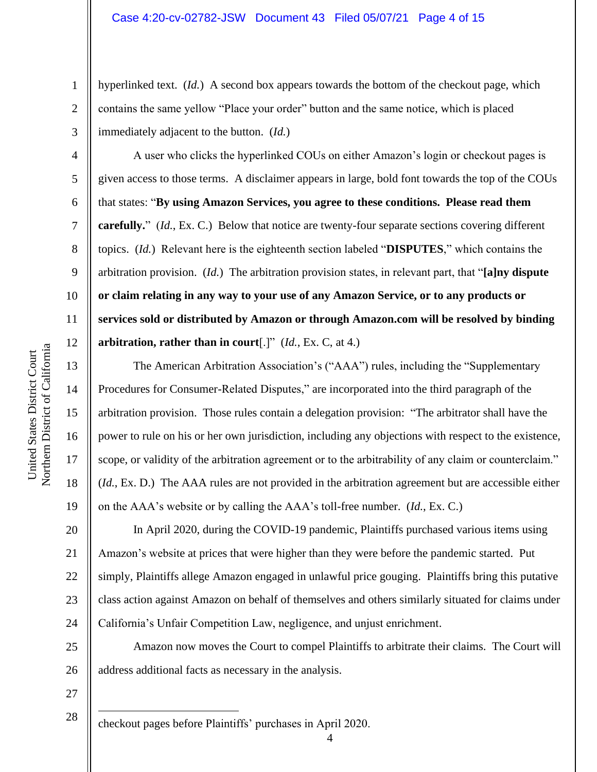hyperlinked text. (*Id.*) A second box appears towards the bottom of the checkout page, which contains the same yellow "Place your order" button and the same notice, which is placed immediately adjacent to the button. (*Id.*)

A user who clicks the hyperlinked COUs on either Amazon's login or checkout pages is given access to those terms. A disclaimer appears in large, bold font towards the top of the COUs that states: "**By using Amazon Services, you agree to these conditions. Please read them carefully.**" (*Id.*, Ex. C.) Below that notice are twenty-four separate sections covering different topics. (*Id.*) Relevant here is the eighteenth section labeled "**DISPUTES**," which contains the arbitration provision. (*Id.*) The arbitration provision states, in relevant part, that "**[a]ny dispute or claim relating in any way to your use of any Amazon Service, or to any products or services sold or distributed by Amazon or through Amazon.com will be resolved by binding arbitration, rather than in court**[.]" (*Id.*, Ex. C, at 4.)

The American Arbitration Association's ("AAA") rules, including the "Supplementary Procedures for Consumer-Related Disputes," are incorporated into the third paragraph of the arbitration provision. Those rules contain a delegation provision: "The arbitrator shall have the power to rule on his or her own jurisdiction, including any objections with respect to the existence, scope, or validity of the arbitration agreement or to the arbitrability of any claim or counterclaim." (*Id.*, Ex. D.) The AAA rules are not provided in the arbitration agreement but are accessible either on the AAA's website or by calling the AAA's toll-free number. (*Id.*, Ex. C.)

20 21 22 23 24 In April 2020, during the COVID-19 pandemic, Plaintiffs purchased various items using Amazon's website at prices that were higher than they were before the pandemic started. Put simply, Plaintiffs allege Amazon engaged in unlawful price gouging. Plaintiffs bring this putative class action against Amazon on behalf of themselves and others similarly situated for claims under California's Unfair Competition Law, negligence, and unjust enrichment.

25 26 Amazon now moves the Court to compel Plaintiffs to arbitrate their claims. The Court will address additional facts as necessary in the analysis.

27

28

checkout pages before Plaintiffs' purchases in April 2020.

1

2

3

4

5

6

7

8

9

10

11

12

13

14

15

16

17

18

19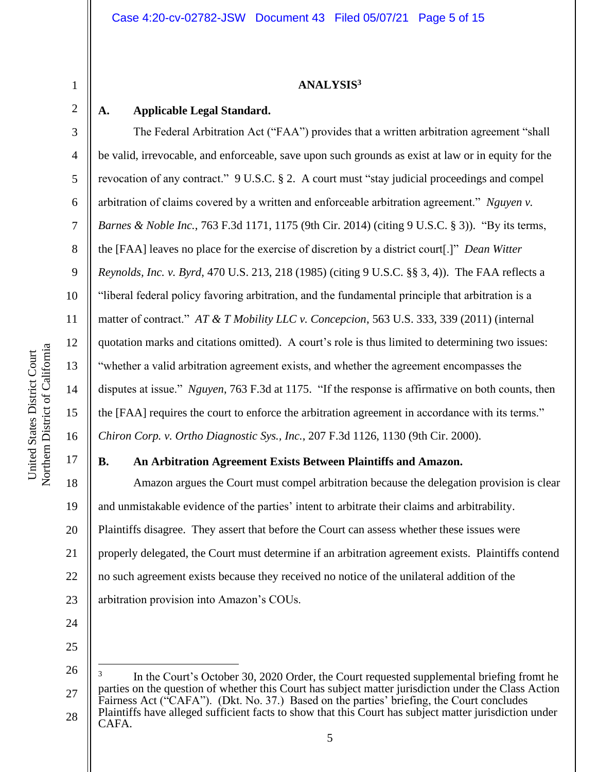## **ANALYSIS<sup>3</sup>**

## **A. Applicable Legal Standard.**

The Federal Arbitration Act ("FAA") provides that a written arbitration agreement "shall be valid, irrevocable, and enforceable, save upon such grounds as exist at law or in equity for the revocation of any contract." 9 U.S.C. § 2. A court must "stay judicial proceedings and compel arbitration of claims covered by a written and enforceable arbitration agreement." *Nguyen v. Barnes & Noble Inc.*, 763 F.3d 1171, 1175 (9th Cir. 2014) (citing 9 U.S.C. § 3)). "By its terms, the [FAA] leaves no place for the exercise of discretion by a district court[.]" *Dean Witter Reynolds, Inc. v. Byrd*, 470 U.S. 213, 218 (1985) (citing 9 U.S.C. §§ 3, 4)). The FAA reflects a "liberal federal policy favoring arbitration, and the fundamental principle that arbitration is a matter of contract." *AT & T Mobility LLC v. Concepcion*, 563 U.S. 333, 339 (2011) (internal quotation marks and citations omitted). A court's role is thus limited to determining two issues: "whether a valid arbitration agreement exists, and whether the agreement encompasses the disputes at issue." *Nguyen*, 763 F.3d at 1175. "If the response is affirmative on both counts, then the [FAA] requires the court to enforce the arbitration agreement in accordance with its terms." *Chiron Corp. v. Ortho Diagnostic Sys., Inc.*, 207 F.3d 1126, 1130 (9th Cir. 2000).

## **B. An Arbitration Agreement Exists Between Plaintiffs and Amazon.**

18 19 20 21 22 23 Amazon argues the Court must compel arbitration because the delegation provision is clear and unmistakable evidence of the parties' intent to arbitrate their claims and arbitrability. Plaintiffs disagree. They assert that before the Court can assess whether these issues were properly delegated, the Court must determine if an arbitration agreement exists. Plaintiffs contend no such agreement exists because they received no notice of the unilateral addition of the arbitration provision into Amazon's COUs.

25

24

1

2

3

4

5

6

7

8

9

10

11

12

13

14

15

16

<sup>26</sup> 27 28 3 In the Court's October 30, 2020 Order, the Court requested supplemental briefing fromt he parties on the question of whether this Court has subject matter jurisdiction under the Class Action Fairness Act ("CAFA"). (Dkt. No. 37.) Based on the parties' briefing, the Court concludes Plaintiffs have alleged sufficient facts to show that this Court has subject matter jurisdiction under CAFA.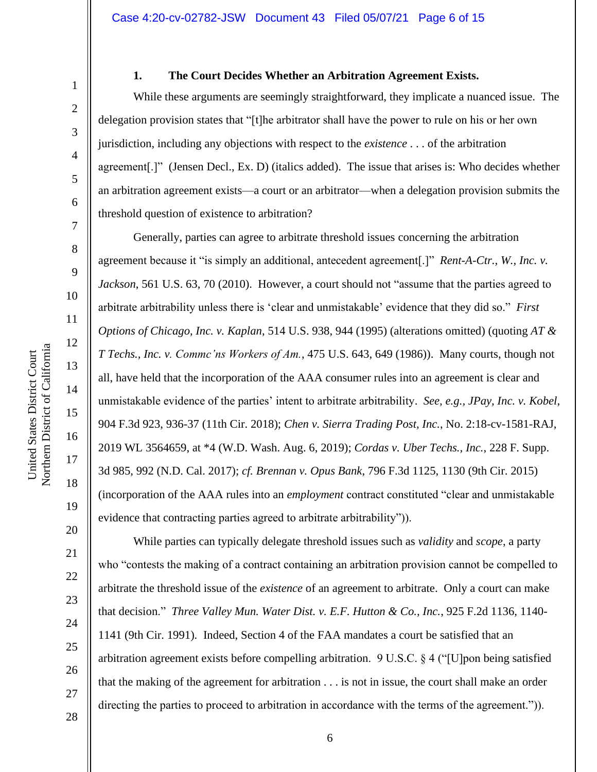1

2

3

4

5

6

7

8

#### **1. The Court Decides Whether an Arbitration Agreement Exists.**

While these arguments are seemingly straightforward, they implicate a nuanced issue. The delegation provision states that "[t]he arbitrator shall have the power to rule on his or her own jurisdiction, including any objections with respect to the *existence* . . . of the arbitration agreement[.]" (Jensen Decl., Ex. D) (italics added). The issue that arises is: Who decides whether an arbitration agreement exists—a court or an arbitrator—when a delegation provision submits the threshold question of existence to arbitration?

Generally, parties can agree to arbitrate threshold issues concerning the arbitration agreement because it "is simply an additional, antecedent agreement[.]" *Rent-A-Ctr., W., Inc. v. Jackson*, 561 U.S. 63, 70 (2010). However, a court should not "assume that the parties agreed to arbitrate arbitrability unless there is 'clear and unmistakable' evidence that they did so." *First Options of Chicago, Inc. v. Kaplan*, 514 U.S. 938, 944 (1995) (alterations omitted) (quoting *AT & T Techs., Inc. v. Commc'ns Workers of Am.*, 475 U.S. 643, 649 (1986)). Many courts, though not all, have held that the incorporation of the AAA consumer rules into an agreement is clear and unmistakable evidence of the parties' intent to arbitrate arbitrability. *See, e.g., JPay, Inc. v. Kobel*, 904 F.3d 923, 936-37 (11th Cir. 2018); *Chen v. Sierra Trading Post, Inc.*, No. 2:18-cv-1581-RAJ, 2019 WL 3564659, at \*4 (W.D. Wash. Aug. 6, 2019); *Cordas v. Uber Techs., Inc.*, 228 F. Supp. 3d 985, 992 (N.D. Cal. 2017); *cf. Brennan v. Opus Bank*, 796 F.3d 1125, 1130 (9th Cir. 2015) (incorporation of the AAA rules into an *employment* contract constituted "clear and unmistakable evidence that contracting parties agreed to arbitrate arbitrability")).

While parties can typically delegate threshold issues such as *validity* and *scope*, a party who "contests the making of a contract containing an arbitration provision cannot be compelled to arbitrate the threshold issue of the *existence* of an agreement to arbitrate. Only a court can make that decision." *Three Valley Mun. Water Dist. v. E.F. Hutton & Co., Inc.*, 925 F.2d 1136, 1140- 1141 (9th Cir. 1991). Indeed, Section 4 of the FAA mandates a court be satisfied that an arbitration agreement exists before compelling arbitration. 9 U.S.C. § 4 ("[U]pon being satisfied that the making of the agreement for arbitration . . . is not in issue, the court shall make an order directing the parties to proceed to arbitration in accordance with the terms of the agreement.")).

28

19

20

21

22

23

24

25

26

27

Northern District of California Northern District of California United States District Court United States District Court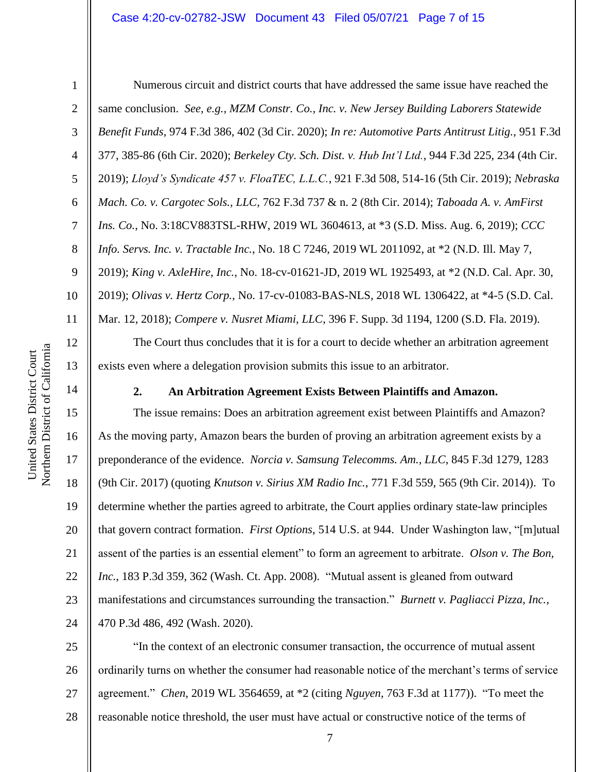#### Case 4:20-cv-02782-JSW Document 43 Filed 05/07/21 Page 7 of 15

1

2

3

4

5

6

7

8

9

10

11

12

13

14

15

16

17

18

19

20

21

22

23

24

Numerous circuit and district courts that have addressed the same issue have reached the same conclusion. *See, e.g., MZM Constr. Co., Inc. v. New Jersey Building Laborers Statewide Benefit Funds*, 974 F.3d 386, 402 (3d Cir. 2020); *In re: Automotive Parts Antitrust Litig.*, 951 F.3d 377, 385-86 (6th Cir. 2020); *Berkeley Cty. Sch. Dist. v. Hub Int'l Ltd.*, 944 F.3d 225, 234 (4th Cir. 2019); *Lloyd's Syndicate 457 v. FloaTEC, L.L.C.*, 921 F.3d 508, 514-16 (5th Cir. 2019); *Nebraska Mach. Co. v. Cargotec Sols., LLC*, 762 F.3d 737 & n. 2 (8th Cir. 2014); *Taboada A. v. AmFirst Ins. Co.*, No. 3:18CV883TSL-RHW, 2019 WL 3604613, at \*3 (S.D. Miss. Aug. 6, 2019); *CCC Info. Servs. Inc. v. Tractable Inc.*, No. 18 C 7246, 2019 WL 2011092, at \*2 (N.D. Ill. May 7, 2019); *King v. AxleHire, Inc.*, No. 18-cv-01621-JD, 2019 WL 1925493, at \*2 (N.D. Cal. Apr. 30, 2019); *Olivas v. Hertz Corp.*, No. 17-cv-01083-BAS-NLS, 2018 WL 1306422, at \*4-5 (S.D. Cal. Mar. 12, 2018); *Compere v. Nusret Miami, LLC*, 396 F. Supp. 3d 1194, 1200 (S.D. Fla. 2019).

The Court thus concludes that it is for a court to decide whether an arbitration agreement exists even where a delegation provision submits this issue to an arbitrator.

### **2. An Arbitration Agreement Exists Between Plaintiffs and Amazon.**

The issue remains: Does an arbitration agreement exist between Plaintiffs and Amazon? As the moving party, Amazon bears the burden of proving an arbitration agreement exists by a preponderance of the evidence. *Norcia v. Samsung Telecomms. Am., LLC*, 845 F.3d 1279, 1283 (9th Cir. 2017) (quoting *Knutson v. Sirius XM Radio Inc.*, 771 F.3d 559, 565 (9th Cir. 2014)). To determine whether the parties agreed to arbitrate, the Court applies ordinary state-law principles that govern contract formation. *First Options*, 514 U.S. at 944. Under Washington law, "[m]utual assent of the parties is an essential element" to form an agreement to arbitrate. *Olson v. The Bon, Inc.*, 183 P.3d 359, 362 (Wash. Ct. App. 2008). "Mutual assent is gleaned from outward manifestations and circumstances surrounding the transaction." *Burnett v. Pagliacci Pizza, Inc.*, 470 P.3d 486, 492 (Wash. 2020).

25 26 27 28 "In the context of an electronic consumer transaction, the occurrence of mutual assent ordinarily turns on whether the consumer had reasonable notice of the merchant's terms of service agreement." *Chen*, 2019 WL 3564659, at \*2 (citing *Nguyen*, 763 F.3d at 1177)). "To meet the reasonable notice threshold, the user must have actual or constructive notice of the terms of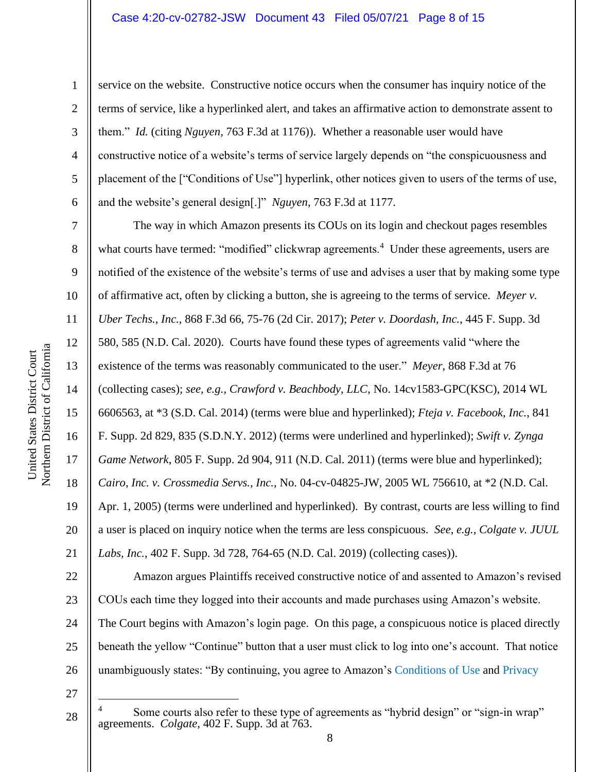#### Case 4:20-cv-02782-JSW Document 43 Filed 05/07/21 Page 8 of 15

1

2

3

4

5

6

7

8

9

10

11

12

13

14

15

16

17

18

19

20

21

service on the website. Constructive notice occurs when the consumer has inquiry notice of the terms of service, like a hyperlinked alert, and takes an affirmative action to demonstrate assent to them." *Id.* (citing *Nguyen*, 763 F.3d at 1176)). Whether a reasonable user would have constructive notice of a website's terms of service largely depends on "the conspicuousness and placement of the ["Conditions of Use"] hyperlink, other notices given to users of the terms of use, and the website's general design[.]" *Nguyen*, 763 F.3d at 1177.

The way in which Amazon presents its COUs on its login and checkout pages resembles what courts have termed: "modified" clickwrap agreements.<sup>4</sup> Under these agreements, users are notified of the existence of the website's terms of use and advises a user that by making some type of affirmative act, often by clicking a button, she is agreeing to the terms of service. *Meyer v. Uber Techs., Inc.*, 868 F.3d 66, 75-76 (2d Cir. 2017); *Peter v. Doordash, Inc.*, 445 F. Supp. 3d 580, 585 (N.D. Cal. 2020). Courts have found these types of agreements valid "where the existence of the terms was reasonably communicated to the user." *Meyer*, 868 F.3d at 76 (collecting cases); *see, e.g., Crawford v. Beachbody, LLC*, No. 14cv1583-GPC(KSC), 2014 WL 6606563, at \*3 (S.D. Cal. 2014) (terms were blue and hyperlinked); *Fteja v. Facebook, Inc.*, 841 F. Supp. 2d 829, 835 (S.D.N.Y. 2012) (terms were underlined and hyperlinked); *Swift v. Zynga Game Network*, 805 F. Supp. 2d 904, 911 (N.D. Cal. 2011) (terms were blue and hyperlinked); *Cairo, Inc. v. Crossmedia Servs., Inc.*, No. 04-cv-04825-JW, 2005 WL 756610, at \*2 (N.D. Cal. Apr. 1, 2005) (terms were underlined and hyperlinked). By contrast, courts are less willing to find a user is placed on inquiry notice when the terms are less conspicuous. *See, e.g., Colgate v. JUUL Labs, Inc.*, 402 F. Supp. 3d 728, 764-65 (N.D. Cal. 2019) (collecting cases)).

22 23 24 25 26 Amazon argues Plaintiffs received constructive notice of and assented to Amazon's revised COUs each time they logged into their accounts and made purchases using Amazon's website. The Court begins with Amazon's login page. On this page, a conspicuous notice is placed directly beneath the yellow "Continue" button that a user must click to log into one's account. That notice unambiguously states: "By continuing, you agree to Amazon's Conditions of Use and Privacy

27

Some courts also refer to these type of agreements as "hybrid design" or "sign-in wrap" agreements. *Colgate*, 402 F. Supp. 3d at 763.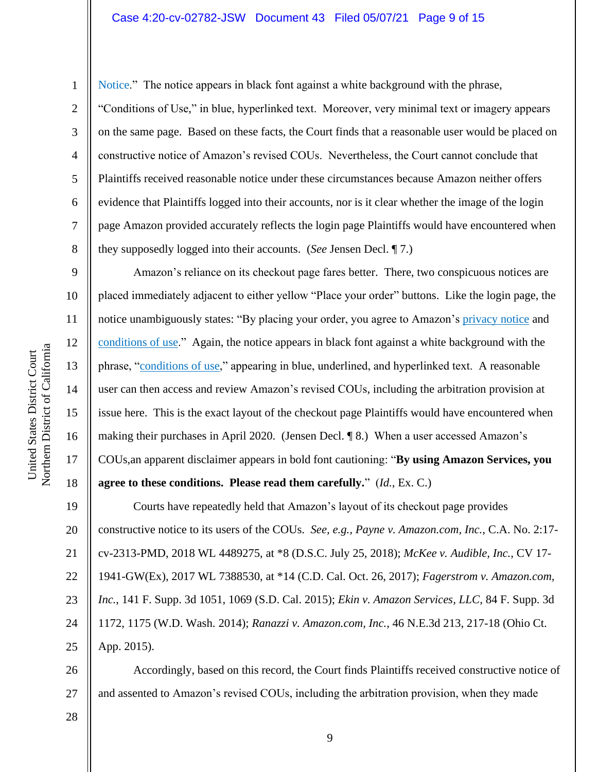Northern District of California Northern District of California United States District Court United States District Court

9

10

11

12

13

14

15

16

17

18

1 2 3 4 5 6 7 8 Notice." The notice appears in black font against a white background with the phrase, "Conditions of Use," in blue, hyperlinked text. Moreover, very minimal text or imagery appears on the same page. Based on these facts, the Court finds that a reasonable user would be placed on constructive notice of Amazon's revised COUs. Nevertheless, the Court cannot conclude that Plaintiffs received reasonable notice under these circumstances because Amazon neither offers evidence that Plaintiffs logged into their accounts, nor is it clear whether the image of the login page Amazon provided accurately reflects the login page Plaintiffs would have encountered when they supposedly logged into their accounts. (*See* Jensen Decl. ¶ 7.)

Amazon's reliance on its checkout page fares better. There, two conspicuous notices are placed immediately adjacent to either yellow "Place your order" buttons. Like the login page, the notice unambiguously states: "By placing your order, you agree to Amazon's privacy notice and conditions of use." Again, the notice appears in black font against a white background with the phrase, "conditions of use," appearing in blue, underlined, and hyperlinked text. A reasonable user can then access and review Amazon's revised COUs, including the arbitration provision at issue here. This is the exact layout of the checkout page Plaintiffs would have encountered when making their purchases in April 2020. (Jensen Decl. ¶ 8.) When a user accessed Amazon's COUs,an apparent disclaimer appears in bold font cautioning: "**By using Amazon Services, you agree to these conditions. Please read them carefully.**" (*Id.*, Ex. C.)

19 20 21 22 23 24 25 Courts have repeatedly held that Amazon's layout of its checkout page provides constructive notice to its users of the COUs. *See, e.g., Payne v. Amazon.com, Inc.*, C.A. No. 2:17 cv-2313-PMD, 2018 WL 4489275, at \*8 (D.S.C. July 25, 2018); *McKee v. Audible, Inc.*, CV 17- 1941-GW(Ex), 2017 WL 7388530, at \*14 (C.D. Cal. Oct. 26, 2017); *Fagerstrom v. Amazon.com, Inc.*, 141 F. Supp. 3d 1051, 1069 (S.D. Cal. 2015); *Ekin v. Amazon Services, LLC*, 84 F. Supp. 3d 1172, 1175 (W.D. Wash. 2014); *Ranazzi v. Amazon.com, Inc.*, 46 N.E.3d 213, 217-18 (Ohio Ct. App. 2015).

26 27 Accordingly, based on this record, the Court finds Plaintiffs received constructive notice of and assented to Amazon's revised COUs, including the arbitration provision, when they made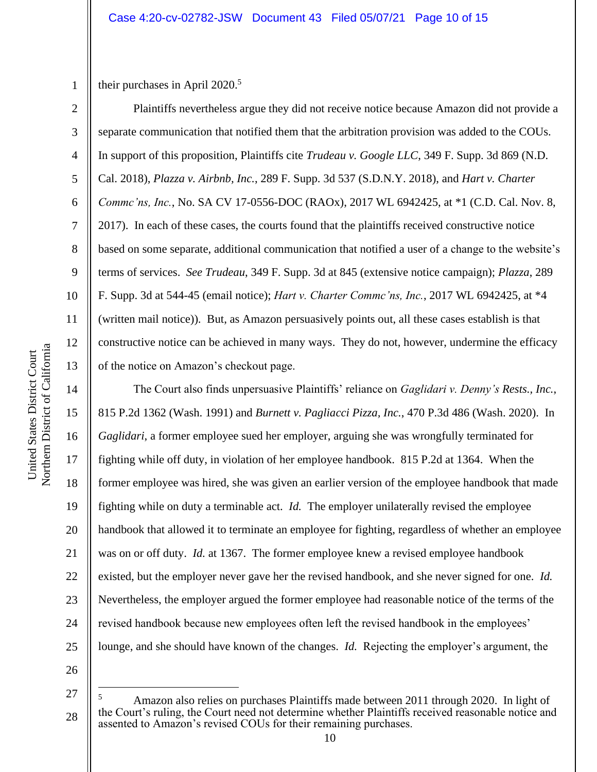1 their purchases in April 2020. 5

2

3

4

5

6

7

8

9

10

11

12

13

14

15

17

18

19

21

23

Plaintiffs nevertheless argue they did not receive notice because Amazon did not provide a separate communication that notified them that the arbitration provision was added to the COUs. In support of this proposition, Plaintiffs cite *Trudeau v. Google LLC*, 349 F. Supp. 3d 869 (N.D. Cal. 2018), *Plazza v. Airbnb, Inc.*, 289 F. Supp. 3d 537 (S.D.N.Y. 2018), and *Hart v. Charter Commc'ns, Inc.*, No. SA CV 17-0556-DOC (RAOx), 2017 WL 6942425, at \*1 (C.D. Cal. Nov. 8, 2017). In each of these cases, the courts found that the plaintiffs received constructive notice based on some separate, additional communication that notified a user of a change to the website's terms of services. *See Trudeau*, 349 F. Supp. 3d at 845 (extensive notice campaign); *Plazza*, 289 F. Supp. 3d at 544-45 (email notice); *Hart v. Charter Commc'ns, Inc.*, 2017 WL 6942425, at \*4 (written mail notice)). But, as Amazon persuasively points out, all these cases establish is that constructive notice can be achieved in many ways. They do not, however, undermine the efficacy of the notice on Amazon's checkout page.

16 20 22 24 The Court also finds unpersuasive Plaintiffs' reliance on *Gaglidari v. Denny's Rests., Inc.*, 815 P.2d 1362 (Wash. 1991) and *Burnett v. Pagliacci Pizza, Inc.*, 470 P.3d 486 (Wash. 2020). In *Gaglidari*, a former employee sued her employer, arguing she was wrongfully terminated for fighting while off duty, in violation of her employee handbook. 815 P.2d at 1364. When the former employee was hired, she was given an earlier version of the employee handbook that made fighting while on duty a terminable act. *Id.* The employer unilaterally revised the employee handbook that allowed it to terminate an employee for fighting, regardless of whether an employee was on or off duty. *Id.* at 1367. The former employee knew a revised employee handbook existed, but the employer never gave her the revised handbook, and she never signed for one. *Id.* Nevertheless, the employer argued the former employee had reasonable notice of the terms of the revised handbook because new employees often left the revised handbook in the employees' lounge, and she should have known of the changes. *Id.* Rejecting the employer's argument, the

26

<sup>27</sup> 28 <sup>5</sup> Amazon also relies on purchases Plaintiffs made between 2011 through 2020. In light of the Court's ruling, the Court need not determine whether Plaintiffs received reasonable notice and assented to Amazon's revised COUs for their remaining purchases.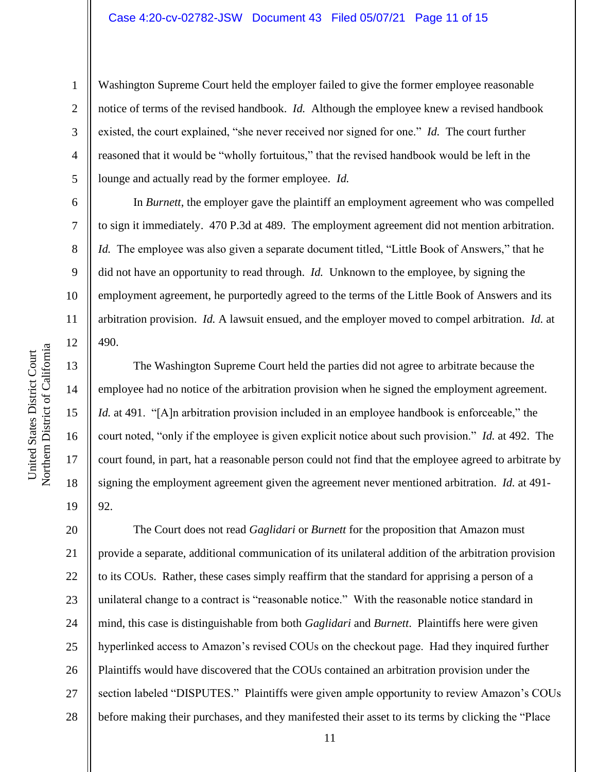#### Case 4:20-cv-02782-JSW Document 43 Filed 05/07/21 Page 11 of 15

Washington Supreme Court held the employer failed to give the former employee reasonable notice of terms of the revised handbook. *Id.* Although the employee knew a revised handbook existed, the court explained, "she never received nor signed for one." *Id.* The court further reasoned that it would be "wholly fortuitous," that the revised handbook would be left in the lounge and actually read by the former employee. *Id.*

In *Burnett*, the employer gave the plaintiff an employment agreement who was compelled to sign it immediately. 470 P.3d at 489. The employment agreement did not mention arbitration. *Id.* The employee was also given a separate document titled, "Little Book of Answers," that he did not have an opportunity to read through. *Id.* Unknown to the employee, by signing the employment agreement, he purportedly agreed to the terms of the Little Book of Answers and its arbitration provision. *Id.* A lawsuit ensued, and the employer moved to compel arbitration. *Id.* at 490.

The Washington Supreme Court held the parties did not agree to arbitrate because the employee had no notice of the arbitration provision when he signed the employment agreement. *Id.* at 491. "[A]n arbitration provision included in an employee handbook is enforceable," the court noted, "only if the employee is given explicit notice about such provision." *Id.* at 492. The court found, in part, hat a reasonable person could not find that the employee agreed to arbitrate by signing the employment agreement given the agreement never mentioned arbitration. *Id.* at 491- 92.

20 21 22 23 24 25 26 27 28 The Court does not read *Gaglidari* or *Burnett* for the proposition that Amazon must provide a separate, additional communication of its unilateral addition of the arbitration provision to its COUs. Rather, these cases simply reaffirm that the standard for apprising a person of a unilateral change to a contract is "reasonable notice." With the reasonable notice standard in mind, this case is distinguishable from both *Gaglidari* and *Burnett*. Plaintiffs here were given hyperlinked access to Amazon's revised COUs on the checkout page. Had they inquired further Plaintiffs would have discovered that the COUs contained an arbitration provision under the section labeled "DISPUTES." Plaintiffs were given ample opportunity to review Amazon's COUs before making their purchases, and they manifested their asset to its terms by clicking the "Place

1

2

3

4

5

6

7

8

9

10

11

12

13

14

15

16

17

18

19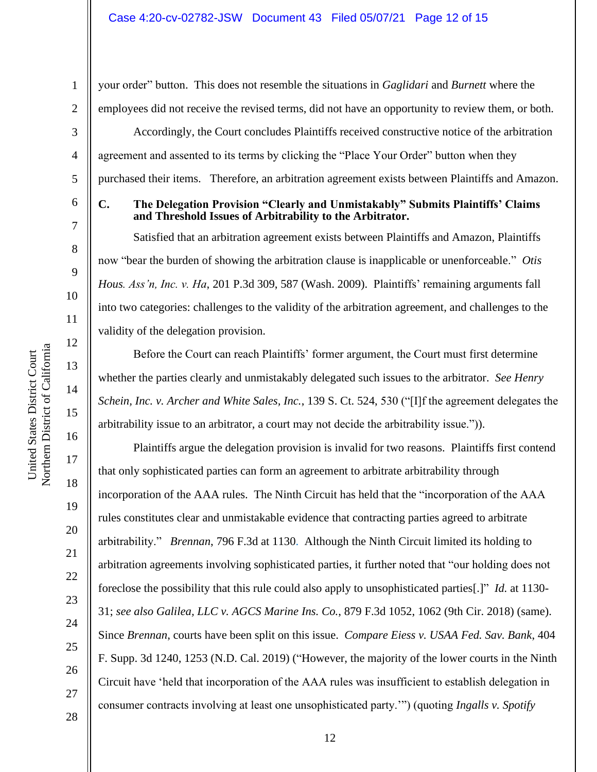your order" button. This does not resemble the situations in *Gaglidari* and *Burnett* where the employees did not receive the revised terms, did not have an opportunity to review them, or both.

Accordingly, the Court concludes Plaintiffs received constructive notice of the arbitration agreement and assented to its terms by clicking the "Place Your Order" button when they purchased their items. Therefore, an arbitration agreement exists between Plaintiffs and Amazon.

### **C. The Delegation Provision "Clearly and Unmistakably" Submits Plaintiffs' Claims and Threshold Issues of Arbitrability to the Arbitrator.**

Satisfied that an arbitration agreement exists between Plaintiffs and Amazon, Plaintiffs now "bear the burden of showing the arbitration clause is inapplicable or unenforceable." *Otis Hous. Ass'n, Inc. v. Ha*, 201 P.3d 309, 587 (Wash. 2009). Plaintiffs' remaining arguments fall into two categories: challenges to the validity of the arbitration agreement, and challenges to the validity of the delegation provision.

Before the Court can reach Plaintiffs' former argument, the Court must first determine whether the parties clearly and unmistakably delegated such issues to the arbitrator. *See Henry Schein, Inc. v. Archer and White Sales, Inc.*, 139 S. Ct. 524, 530 ("[I]f the agreement delegates the arbitrability issue to an arbitrator, a court may not decide the arbitrability issue.")).

Plaintiffs argue the delegation provision is invalid for two reasons. Plaintiffs first contend that only sophisticated parties can form an agreement to arbitrate arbitrability through incorporation of the AAA rules. The Ninth Circuit has held that the "incorporation of the AAA rules constitutes clear and unmistakable evidence that contracting parties agreed to arbitrate arbitrability." *Brennan*, 796 F.3d at 1130. Although the Ninth Circuit limited its holding to arbitration agreements involving sophisticated parties, it further noted that "our holding does not foreclose the possibility that this rule could also apply to unsophisticated parties[.]" *Id.* at 1130- 31; *see also Galilea, LLC v. AGCS Marine Ins. Co.*, 879 F.3d 1052, 1062 (9th Cir. 2018) (same). Since *Brennan*, courts have been split on this issue. *Compare Eiess v. USAA Fed. Sav. Bank*, 404 F. Supp. 3d 1240, 1253 (N.D. Cal. 2019) ("However, the majority of the lower courts in the Ninth Circuit have 'held that incorporation of the AAA rules was insufficient to establish delegation in consumer contracts involving at least one unsophisticated party.'") (quoting *Ingalls v. Spotify* 

United States District Court

Northern District of California United States District Court

1

2

3

4

28

19

20

21

22

23

24

25

26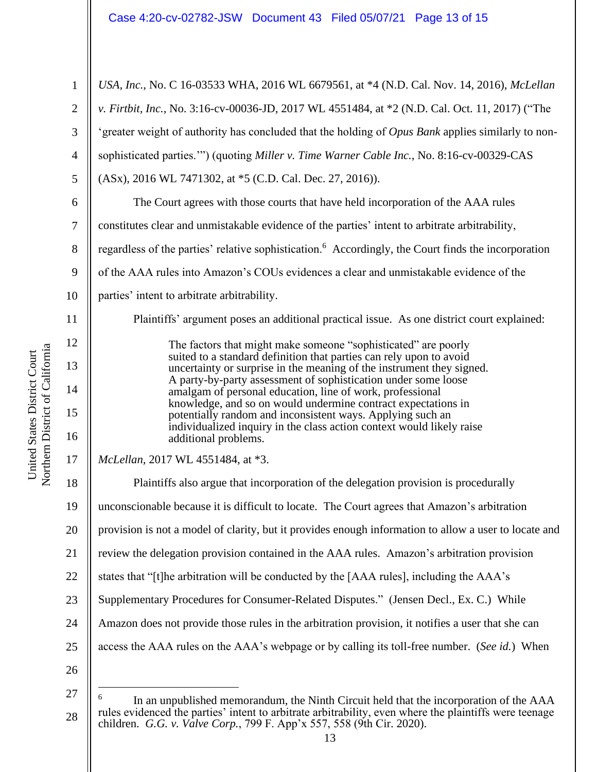1 2 3 4 5 6 7 8 9 10 11 12 13 14 15 16 17 18 19 20 21 22 23 24 25 26 27 28 *USA, Inc.*, No. C 16-03533 WHA, 2016 WL 6679561, at \*4 (N.D. Cal. Nov. 14, 2016), *McLellan v. Firtbit, Inc.*, No. 3:16-cv-00036-JD, 2017 WL 4551484, at \*2 (N.D. Cal. Oct. 11, 2017) ("The 'greater weight of authority has concluded that the holding of *Opus Bank* applies similarly to nonsophisticated parties.'") (quoting *Miller v. Time Warner Cable Inc.*, No. 8:16-cv-00329-CAS (ASx), 2016 WL 7471302, at \*5 (C.D. Cal. Dec. 27, 2016)). The Court agrees with those courts that have held incorporation of the AAA rules constitutes clear and unmistakable evidence of the parties' intent to arbitrate arbitrability, regardless of the parties' relative sophistication.<sup>6</sup> Accordingly, the Court finds the incorporation of the AAA rules into Amazon's COUs evidences a clear and unmistakable evidence of the parties' intent to arbitrate arbitrability. Plaintiffs' argument poses an additional practical issue. As one district court explained: The factors that might make someone "sophisticated" are poorly suited to a standard definition that parties can rely upon to avoid uncertainty or surprise in the meaning of the instrument they signed. A party-by-party assessment of sophistication under some loose amalgam of personal education, line of work, professional knowledge, and so on would undermine contract expectations in potentially random and inconsistent ways. Applying such an individualized inquiry in the class action context would likely raise additional problems. *McLellan*, 2017 WL 4551484, at \*3. Plaintiffs also argue that incorporation of the delegation provision is procedurally unconscionable because it is difficult to locate. The Court agrees that Amazon's arbitration provision is not a model of clarity, but it provides enough information to allow a user to locate and review the delegation provision contained in the AAA rules. Amazon's arbitration provision states that "[t]he arbitration will be conducted by the [AAA rules], including the AAA's Supplementary Procedures for Consumer-Related Disputes." (Jensen Decl., Ex. C.) While Amazon does not provide those rules in the arbitration provision, it notifies a user that she can access the AAA rules on the AAA's webpage or by calling its toll-free number. (*See id.*) When 6 In an unpublished memorandum, the Ninth Circuit held that the incorporation of the AAA rules evidenced the parties' intent to arbitrate arbitrability, even where the plaintiffs were teenage children. *G.G. v. Valve Corp.*, 799 F. App'x 557, 558 (9th Cir. 2020).

Northern District of California Northern District of California United States District Court United States District Court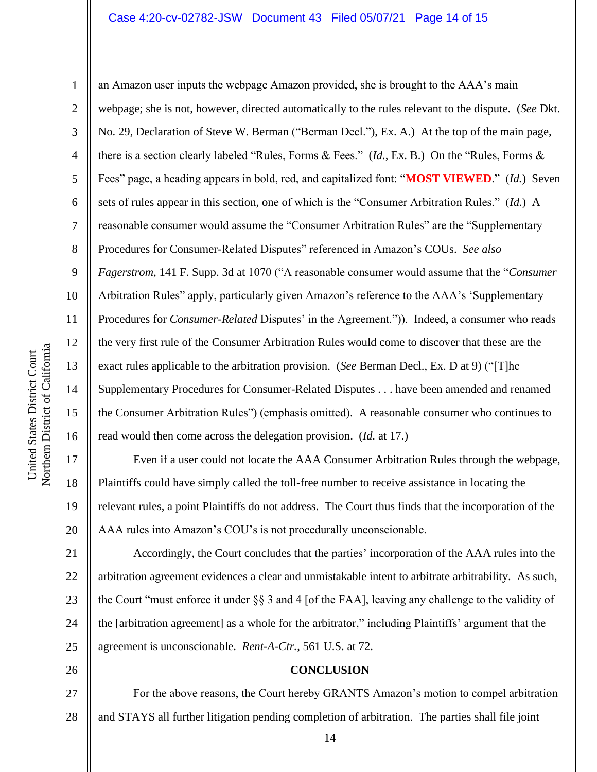#### Case 4:20-cv-02782-JSW Document 43 Filed 05/07/21 Page 14 of 15

Northern District of California Northern District of California United States District Court United States District Court

17

18

19

20

21

25

26

1 2 3 4 5 6 7 8 9 10 11 12 13 14 15 16 an Amazon user inputs the webpage Amazon provided, she is brought to the AAA's main webpage; she is not, however, directed automatically to the rules relevant to the dispute. (*See* Dkt. No. 29, Declaration of Steve W. Berman ("Berman Decl."), Ex. A.) At the top of the main page, there is a section clearly labeled "Rules, Forms & Fees." (*Id.*, Ex. B.) On the "Rules, Forms & Fees" page, a heading appears in bold, red, and capitalized font: "**MOST VIEWED**." (*Id.*) Seven sets of rules appear in this section, one of which is the "Consumer Arbitration Rules." (*Id.*)A reasonable consumer would assume the "Consumer Arbitration Rules" are the "Supplementary Procedures for Consumer-Related Disputes" referenced in Amazon's COUs. *See also Fagerstrom*, 141 F. Supp. 3d at 1070 ("A reasonable consumer would assume that the "*Consumer*  Arbitration Rules" apply, particularly given Amazon's reference to the AAA's 'Supplementary Procedures for *Consumer-Related* Disputes' in the Agreement.")). Indeed, a consumer who reads the very first rule of the Consumer Arbitration Rules would come to discover that these are the exact rules applicable to the arbitration provision. (*See* Berman Decl., Ex. D at 9) ("[T]he Supplementary Procedures for Consumer-Related Disputes . . . have been amended and renamed the Consumer Arbitration Rules") (emphasis omitted). A reasonable consumer who continues to read would then come across the delegation provision. (*Id.* at 17.)

Even if a user could not locate the AAA Consumer Arbitration Rules through the webpage, Plaintiffs could have simply called the toll-free number to receive assistance in locating the relevant rules, a point Plaintiffs do not address. The Court thus finds that the incorporation of the AAA rules into Amazon's COU's is not procedurally unconscionable.

22 23 24 Accordingly, the Court concludes that the parties' incorporation of the AAA rules into the arbitration agreement evidences a clear and unmistakable intent to arbitrate arbitrability. As such, the Court "must enforce it under §§ 3 and 4 [of the FAA], leaving any challenge to the validity of the [arbitration agreement] as a whole for the arbitrator," including Plaintiffs' argument that the agreement is unconscionable. *Rent-A-Ctr.*, 561 U.S. at 72.

### **CONCLUSION**

27 28 For the above reasons, the Court hereby GRANTS Amazon's motion to compel arbitration and STAYS all further litigation pending completion of arbitration. The parties shall file joint